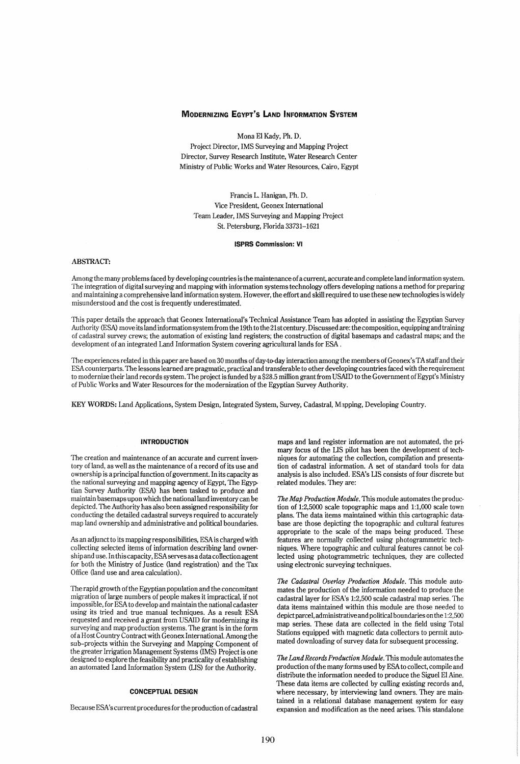# MODERNIZING EGYPT'S LAND INFORMATION SYSTEM

Mona El Kady, Ph. D.

Project Director, IMS Surveying and Mapping Project Director, Survey Research Institute, Water Research Center Ministry of Public Works and Water Resources, Cairo, Egypt

Francis L. Hanigan, Ph. D. Vice President, Geonex International Team Leader, IMS Swveying and Mapping Project St. Petersburg, Florida 33731-1621

#### ISPRS Commission: VI

# **ABSTRACT:**

Among the many problems faced by developing countries is the maintenance of a current, accurate and complete land information system. The integration of digital surveying and mapping with information systems technology offers developing nations a method for preparing and maintaining a comprehensive land information system. However, the effort and skill required to use these new technologies is widely misunderstood and the cost is frequently underestimated.

This paper details the approach that Geonex International's Technical Assistance Team has adopted in assisting the Egyptian Survey Authority (ESA) move its land information system from the 19th to the 21 st century. Discussed are: the composition, equipping and training of cadastral survey crews; the automation of existing land registers; the construction of digital basemaps and cadastral maps; and the development of an integrated Land Information System covering agricultural lands for ESA .

The experiences related in this paper are based on 30 months of day-to-day interaction among the members of Geonex's TA staff and their ESA counterparts. The lessons learned are pragmatic, practical and transferable to other developing countries faced with the requirement to modernize their land records system. The project is funded by a \$28.5 million grant from USAID to the Government of Egypt's Ministry of Public Works and Water Resources for the modernization of the Egyptian Swvey Authority,

KEY WORDS: Land Applications, System Design, Integrated System, Survey, Cadastral, Mapping, Developing Country.

# INTRODUCTION

The creation and maintenance of an accurate and current inventory of land, as well as the maintenance of a record of its use and ownership is a principal function of government. In its capacity as the national surveying and mapping agency of Egypt, The Egyptian Survey Authority (ESA) has been tasked to produce and maintain basemaps upon which the national land inventory can be depicted. The Authority has also been assigned responsibility for conducting the detailed cadastral surveys required to accurately map land ownership and administrative and political boundaries.

As an adjunct to its mapping responsibilities, ESA is charged with collecting selected items of information describing land ownership and use. In this capacity, ESA serves as a data collection agent for both the Ministry of Justice (land registration) and the Tax Office (land use and area calculation).

The rapid growth of the Egyptian population and the concomitant migration of large numbers of people makes it impractical, if not impossible, for ESA to develop and maintain the national cadaster using its tried and true manual techniques. As a result ESA requested and received a grant from USAID for modernizing its surveying and map production systems. The grant is in the form of a Host Country Contract with Geonex International. Among the sub-projects within the Surveying and Mapping Component of the greater Irrigation Management Systems (IMS) Project is one designed to explore the feasibility and practicality of establishing an automated Land Information System (LIS) for the Authority.

# CONCEPTUAL DESIGN

Because ESA's current procedures for the production of cadastral

maps and land register information are not automated, the primary focus of the LIS pilot has been the development of techniques for automating the collection, compilation and presentation of cadastral information. A set of standard tools for data analysis is also included. ESA's LIS consists of four discrete but related modules. They are:

*The Map Production Module.* This module automates the production of 1:2,5000 scale topographic maps and 1:1,000 scale town plans. The data items maintained within this cartographic database are those depicting the topographic and cultural features appropriate to the scale of the maps being produced. These features are normally collected using photogrammetric techniques. Where topographic and cultural features cannot be collected using photogrammetric techniques, they are collected using electronic surveying techniques.

*The Cadastral Overlay Production Module.* This module automates the production of the information needed to produce the cadastral layer for ESA's 1:2,500 scale cadastral map series. The data items maintained within this module are those needed to depict parcel, administrative and political boundaries on the 1 :2,500 map series. These data are collected in the field using Total Stations equipped with magnetic data collectors to permit automated downloading of survey data for subsequent processing.

*The Land Records Production Module.* This module automates the production of the many forms used by ESA to collect, compile and distribute the information needed to produce the Siguel El Aine. These data items are collected by culling existing records and, where necessary, by interviewing land owners. They are maintained in a relational database management system for easy expansion and modification as the need arises. This standalone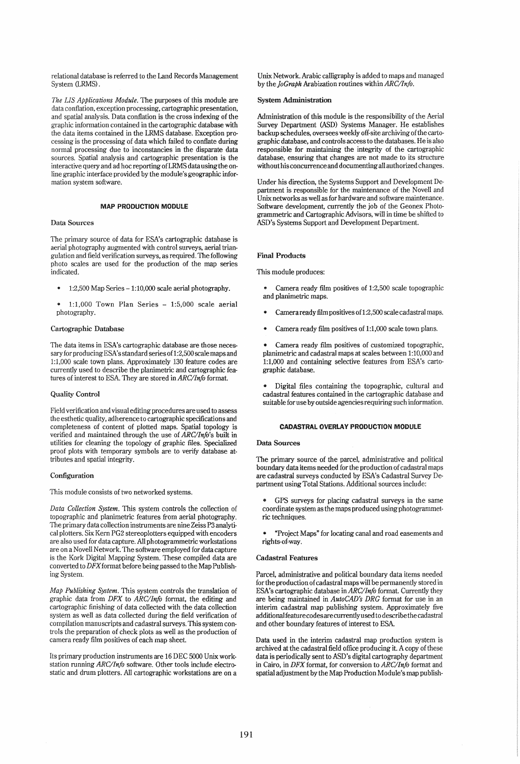relational database is referred to the Land Records Management System (LRMS).

*The LIS Applications Module.* The purposes of this module are data confiation, exception processing, cartographic presentation, and spatial analysis. Data conflation is the cross indexing of the graphic information contained in the cartographic database with the data items contained in the LRMS database. Exception processing is the processing of data which failed to confiate during normal processing due to inconstancies in the disparate data sources. Spatial analysis and cartographic presentation is the interactive query and ad hoc reporting ofLRMS data using the online graphic interface provided by the module's geographic information system software.

### MAP PRODUCTION MODULE

### Data Sources

The primary source of data for ESA's cartographic database is aerial photography augmented with control surveys, aerial triangulation and field verification surveys, as required. The following photo scales are used for the production of the map series indicated.

- 1:2,500 Map Series -1:10,000 scale aerial photography.
- $1:1,000$  Town Plan Series  $1:5,000$  scale aerial photography.

# Cartographic Database

The data items in ESA's cartographic database are those necessary for producing ESA's standard series of 1:2,500 scale maps and 1:1,000 scale town plans. Approximately 130 feature codes are currently used to describe the planimetric and cartographic features of interest to ESA. They are stored in *ARC/Info* format.

### Quality Control

Field verification and visual editing procedures are used to assess the esthetic quality, adherence to cartographic specifications and completeness of content of plotted maps. Spatial topology is verified and maintained through the use of *ARC/Info's* built in utilities for cleaning the topology of graphic files. Specialized proof plots with temporary symbols are to verify database attributes and spatial integrity.

## Configuration

This module consists of two networked systems.

*Data Collection System.* This system controls the collection of topographic and planimetric features from aerial photography. The primary data collection instruments are nine Zeiss P3 analytical plotters. Six Kern PG2 stereoplotters equipped with encoders are also used for data capture. All photogrammetric workstations are on a Novell Network. The software employed for data capture is the Kork Digital Mapping System. These compiled data are converted to *DFX* format before being passed to the Map Publishing System.

*Map Publishing System.* This system controls the translation of graphic data from *DFX* to *ARC/Info* format, the editing and cartographic finishing of data collected with the data collection system as well as data collected during the field verification of compilation manuscripts and cadastral surveys. This system controls the preparation of check plots as well as the production of camera ready film positives of each map sheet.

Its primary production instruments are 16 DEC 5000 Unix workstation running *ARC/Info* software. Other tools include electrostatic and drum plotters. All cartographic workstations are on a Unix Network. Arabic calligraphy is added to maps and managed by the *JoCraph* Arabization routines within *ARC/Info.* 

#### System Administration

Administration of this module is the responsibility of the Aerial Survey Department (ASD) Systems Manager. He establishes backup schedules, oversees weekly off-site archiving of the cartographic database, and controls access to the databases. He is also responsible for maintaining the integrity of the cartographic database, ensuring that changes are not made to its structure without his concurrence and documenting all authorized changes.

Under his direction, the Systems Support and Development Department is responsible for the maintenance of the Novell and Unix networks as well as for hardware and software maintenance. Software development, currently the job of the Geonex Photogrammetric and Cartographic Advisors, will in time be shifted to ASD's Systems Support and Development Department.

# Final Products

## This module produces:

- Camera ready film positives of 1:2,500 scale topographic and planimetric maps.
- Camera ready film positives of1:2,5oo scale cadastral maps.
- Camera ready film positives of 1:1,000 scale town plans.

• Camera ready film positives of customized topographic, planimetric and cadastral maps at scales between 1:10,000 and 1:1,000 and containing selective features from ESA's cartographic database.

• Digital files containing the topographic, cultural and cadastral features contained in the cartographic database and suitable for use by outside agencies requiring such information.

### CADASTRAL OVERLAY PRODUCTION MODULE

#### Data Sources

The primary source of the parcel, administrative and political boundary data items needed for the production of cadastral maps are cadastral surveys conducted by ESA's Cadastral Survey Department using Total Stations. Additional sources include:

GPS surveys for placing cadastral surveys in the same coordinate system as the maps produced using photogrammetric techniques.

• "Project Maps" for locating canal and road easements and rights-of-way.

## Cadastral Features

Parcel, administrative and political boundary data items needed for the production of cadastral maps will be permanently stored in ESA's cartographic database in *ARC/Info* format. Currently they are being maintained in *AutoCAD's DRC* format for use in an interim cadastral map publishing system. Approximately five additionalfeature codes are currentlyused to describe the cadastral and other boundary features of interest to ESA.

Data used in the interim cadastral map production system is archived at the cadastral field office producing it. A copy of these data is periodically sent to ASD's digital cartography department in Cairo, in *DFX* format, for conversion to *ARC/Info* format and spatial adjustment by the Map Production Module's map publish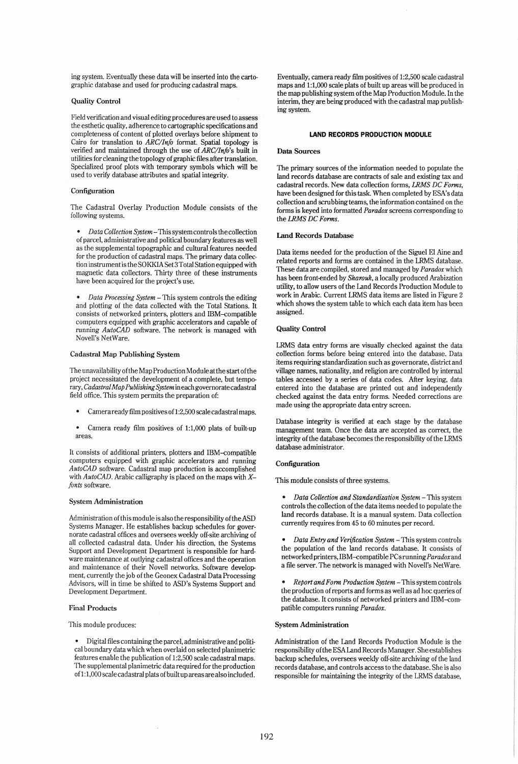ing system. Eventually these data will be inserted into the cartographic database and used for producing cadastral maps.

# Quality Control

Field verification and visual editing procedures are used to assess the esthetic quality, adherence to cartographic specifications and completeness of content of plotted overlays before shipment to Cairo for translation to *ARC/Info* format. Spatial topology is verified and maintained through the use of *ARC/Info's* built in utilities for cleaning the topology of graphic files after translation. Specialized proof plots with temporary symbols which will be used to verify database attributes and spatial integrity.

### Configuration

The Cadastral Overlay Production Module consists of the following systems.

*Data Collection System* - This system controls the collection of parcel, administrative and political boundary features as well as the supplemental topographic and cultural features needed for the production of cadastral maps. The primary data collection instrument is the SO KKIA Set 3 Total Station equipped with magnetic data collectors. Thirty three of these instruments have been acquired for the project's use.

*Data Processing System* - This system controls the editing and plotting of the data collected with the Total Stations. It consists of networked printers, plotters and IBM-compatible computers equipped with graphic accelerators and capable of running *AutoCAD* software. The network is managed with Novell's NetWare.

#### Cadastral Map Publishing System

The unavailability ofthe Map Production Module at the start of the project necessitated the development of a complete, but temporary, *Cadastral Map Publishing System* in each governorate cadastral field office. This system permits the preparation of:

- Camera ready film positives of 1:2,500 scale cadastral maps.
- Camera ready film positives of 1:1,000 plats of built-up  $\bullet$ areas.

It consists of additional printers, plotters and IBM-compatible computers equipped with graphic accelerators and running *AutoCAD* software. Cadastral map production is accomplished with *Auto CAD* . Arabic calligraphy is placed on the maps with *Xfonts* software.

#### System Administration

Administration of this module is also the responsibility of the ASD Systems Manager. He establishes backup schedules for governorate cadastral offices and oversees weekly off-site archiving of all collected cadastral data. Under his direction, the Systems Support and Development Department is responsible for hardware maintenance at outlying cadastral offices and the operation and maintenance of their Novell networks. Software development, currently the job of the Geonex Cadastral Data Processing Advisors, will in time be shifted to ASD's Systems Support and Development Department.

#### Final Products

This module produces:

Digital files containing the parcel, administrative and political boundary data which when overlaid on selected planimetric features enable the publication of 1:2,500 scale cadastral maps. The supplemental planimetric data required for the production of1:1,000 scale cadastral plats of built up areas are also included.

Eventually, camera ready film positives of 1:2,500 scale cadastral maps and 1:1,000 scale plats of built up areas will be produced in the map publishing system of the Map Production Module. In the interim, they are being produced with the cadastral map publishing system.

#### **LAND RECORDS PRODUCTION MODULE**

## Data Sources

The primary sources of the information needed to populate the land records database are contracts of sale and existing tax and cadastral records. New data collection forms, *LRMS DC Forms,*  have been designed for this task. When completed by ESA's data collection and scrubbing teams, the information contained on the forms is keyed into formatted *Paradox* screens corresponding to the *LRMS DC Forms.* 

### Land Records Database

Data items needed for the production of the Siguel El Aine and related reports and forms are contained in the LRMS database. These data are compiled, stored and managed by *Paradox* which has been front-ended by *Sharouk,* a locally produced Arabization utility, to allow users of the Land Records Production Module to work in Arabic. Current LRMS data items are listed in Figure 2 which shows the system table to which each data item has been assigned.

### Quality Control

LRMS data entry forms are visually checked against the data collection forms before being entered into the database. Data items requiring standardization such as governorate, district and village names, nationality, and religion are controlled by internal tables accessed by a series of data codes. After keying, data entered into the database are printed out and independently checked against the data entry forms. Needed corrections are made using the appropriate data entry screen.

Database integrity is verified at each stage by the database management team. Once the data are accepted as correct, the integrity of the database becomes the responsibility of the LRMS database administrator.

### Configuration

This module consists of three systems.

- *Data Collection and Standardization System*  This system controls the collection of the data items needed to populate the land records database. It is a manual system. Data collection currently requires from 45 to 60 minutes per record.
- *Data Entry and Verification System*  This system controls the population of the land records database. It consists of networked printers, IBM-compatible PCsrunning *Paradox* and a file server. The network is managed with Novell's NetWare.
- *Report and Form Production System This system controls* the production of reports and forms as well as ad hoc queries of the database. It consists of networked printers and IBM-compatible computers running *Paradox.*

# System Administration

Administration of the Land Records Production Module is the responsibility of the ESALand Records Manager. She establishes backup schedules, oversees weekly off-site archiving of the land records database, and controls access to the database. She is also responsible for maintaining the integrity of the LRMS database,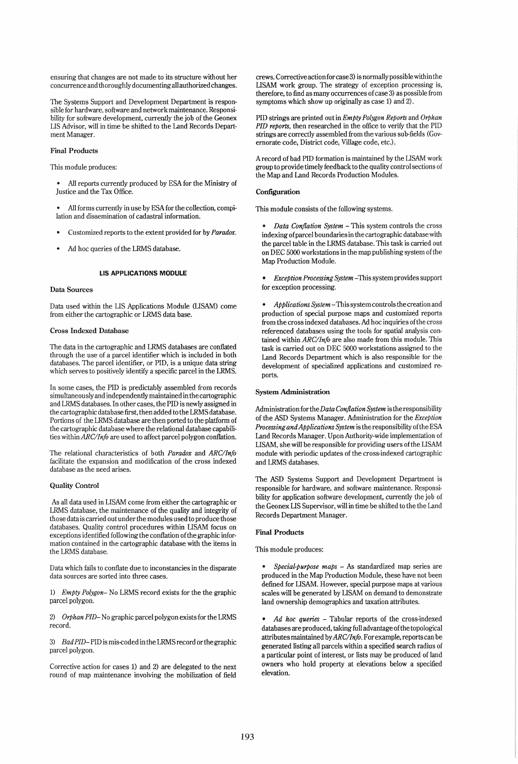ensuring that changes are not made to its structure without her concurrence and thoroughly documenting all authorized changes.

The Systems Support and Development Department is responsible for hardware, software and network maintenance. Responsibility for software development, currently the job of the Geonex LIS Advisor, will in time be shifted to the Land Records Department Manager.

# Final Products

This module produces:

All reports currently produced by ESA for the Ministry of Justice and the Tax Office.

All forms currently in use by ESA for the collection, compilation and dissemination of cadastral information.

- Customized reports to the extent provided for by *Paradox.*
- Ad hoc queries of the LRMS database.

## LIS APPLICATIONS MODULE

#### Data Sources

Data used within the LIS Applications Module (LISAM) come from either the cartographic or LRMS data base.

### Cross Indexed Database

The data in the cartographic and LRMS databases are conflated through the use of a parcel identifier which is included in both databases. The parcel identifier, or PID, is a unique data string which serves to positively identify a specific parcel in the LRMS.

In some cases, the PID is predictably assembled from records simultaneously and independently maintained in the cartographic and LRMS databases. In other cases, the PID is newly assigned in the cartographic database first, then added to the LRMS database. Portions of the LRMS database are then ported to the platform of the cartographic database where the relational database capabilities within *ARC/Info* are used to affect parcel polygon conflation.

The relational characteristics of both *Paradox* and *ARC/Info*  facilitate the expansion and modification of the cross indexed database as the need arises.

## Quality Control

As all data used in LISAM come from either the cartographic or LRMS database, the maintenance of the quality and integrity of those data is carried out under the modules used to produce those databases. Quality control procedures within LISAM focus on exceptions identified following the conflation ofthe graphic information contained in the cartographic database with the items in the LRMS database.

Data which fails to conflate due to inconstancies in the disparate data sources are sorted into three cases.

*1) Empty Polygon-* No LRMS record exists for the the graphic parcel polygon.

*2) Orphan PID-* No graphic parcel polygon exists for the LRMS record.

*3) Bad PID-*PID is mis-coded in the LRMS record or the graphic parcel polygon.

Corrective action for cases 1) and 2) are delegated to the next round of map maintenance involving the mobilization of field crews. Corrective action for case 3) is normally possible within the LISAM work group. The strategy of exception processing is, therefore, to find as many occurrences of case 3) as possible from symptoms which show up originally as case 1) and 2).

PID strings are printed out in *Empty Polygon Reports* and *Orphan PID reports,* then researched in the office to verify that the PID strings are correctly assembled from the various sub-fields (Governorate code, District code, Village code, etc.).

A record of bad PID formation is maintained by the LISAM work group to provide timely feedback to the quality control sections of the Map and Land Records Production Modules.

# Configuration

This module consists of the following systems.

*• Data Con/lation System* - This system controls the cross indexing of parcel boundaries in the cartographic databasewith the parcel table in the LRMS database. This task is carried out on DEC 5000 workstations in the map publishing system of the Map Production Module.

*• Exception Processing System* -This system provides support for exception processing.

*• Applications System* - This system controls the creation and production of special purpose maps and customized reports from the cross indexed databases. Ad hoc inquiries ofthe cross referenced databases using the tools for spatial analysis contained within *ARC/Info* are also made from this module. This task is carried out on DEC 5000 workstations assigned to the Land Records Department which is also responsible for the development of specialized applications and customized reports.

#### System Administration

*AdministrationfortheData Con/lation System* is the responsibility of the ASD Systems Manager. Administration for the *Exception Processing andApplications System* is the responsibility of the ESA Land Records Manager. Upon Authority-wide implementation of LISAM, she will be responsible for providing users ofthe LISAM module with periodic updates of the cross-indexed cartographic and LRMS databases.

The ASD Systems Support and Development Department is responsible for hardware, and software maintenance. Responsibility for application software development, currently the job of the Geonex LIS Supervisor, will in time be shifted to the the Land Records Department Manager.

### Final Products

This module produces:

*Special-purpose maps* - As standardized map series are produced in the Map Production Module, these have not been defined for LISAM. However, special purpose maps at various scales will be generated by LISAM on demand to demonstrate land ownership demographics and taxation attributes.

*• Ad hoc queries* - Tabular reports of the cross-indexed databases are produced, taking full advantage ofthe topological attributes maintained by *ARC/Info.* For example, reports can be generated listing all parcels within a specified search radius of a particular point of interest, or lists may be produced of land owners who hold property at elevations below a specified elevation.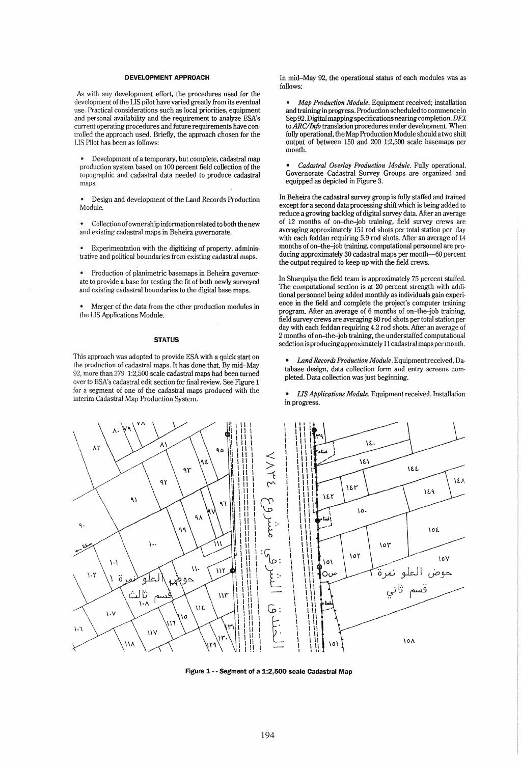### DEVELOPMENT APPROACH

As with any development effort, the procedures used for the development of the LIS pilot have varied greatly from its eventual use. Practical considerations such as local priorities, equipment and personal availability and the requirement to analyze ESA's current operating procedures and future requirements have controlled the approach used. Briefly, the approach chosen for the LIS Pilot has been as follows:

Development of a temporary, but complete, cadastral map production system based on 100 percent field collection of the topographic and cadastral data needed to produce cadastral maps.

Design and development of the Land Records Production Module.

Collection of ownership information related to both the new and existing cadastral maps in Beheira governorate.

Experimentation with the digitizing of property, administrative and political boundaries from existing cadastral maps.

Production of planimetric basemaps in Beheira governorate to provide a base for testing the fit of both newly surveyed and existing cadastral boundaries to the digital base maps.

Merger of the data from the other production modules in the LIS Applications Module.

## **STATUS**

This approach was adopted to provide ESA with a quick start on the production of cadastral maps. It has done that. By mid-May 92, more than 279 1:2,500 scale cadastral maps had been turned over to ESA's cadastral edit section for fmal review. See Figure 1 for a segment of one of the cadastral maps produced with the interim Cadastral Map Production System.

In mid-May 92, the operational status of each modules was as follows:

*• Map Production Module.* Equipment received; installation and training in progress. Production scheduled to commence in Sep 92. Digital mapping specifications nearing completion. DFX to *ARC/Info* translation procedures under development. When fully operational, the Map Production Module should a two shift output of between 150 and 200 1:2,500 scale basemaps per month.

*• Cadastral Overlay Production Module.* Fully operational. Governorate Cadastral Survey Groups are organized and equipped as depicted in Figure 3.

In Beheira the cadastral survey group is fully staffed and trained except for a second data processing shift which is being added to reduce a growing backlog of digital survey data. After an average of 12 months of on-the-job training, field survey crews are averaging approximately 151 rod shots per total station per day with each feddan requiring 5.9 rod shots. After an average of 14 months of on-the-job training, computational personnel are producing approximately 30 cadastral maps per month-50 percent the output required to keep up with the field crews.

In Sharquiya the field team is approximately 75 percent staffed. The computational section is at 20 percent strength with additional personnel being added monthly as individuals gain experience in the field and complete the project's computer training program. After an average of 6 months of on-the-job training, field survey crews are averaging 80 rod shots per total station per day with each feddan requiring 4.2 rod shots. After an average of 2 months of on-the-job training, the understaffed computational sedction is producing approximately 11 cadastral maps per month.

- *Land Records Production Module.* Equipment received. Database design, data collection form and entry screens completed. Data collection was just beginning.
- *US Applications Module.* Equipment received. Installation in progress.



Figure 1 •• Segment of a 1:2,500 scale Cadastral Map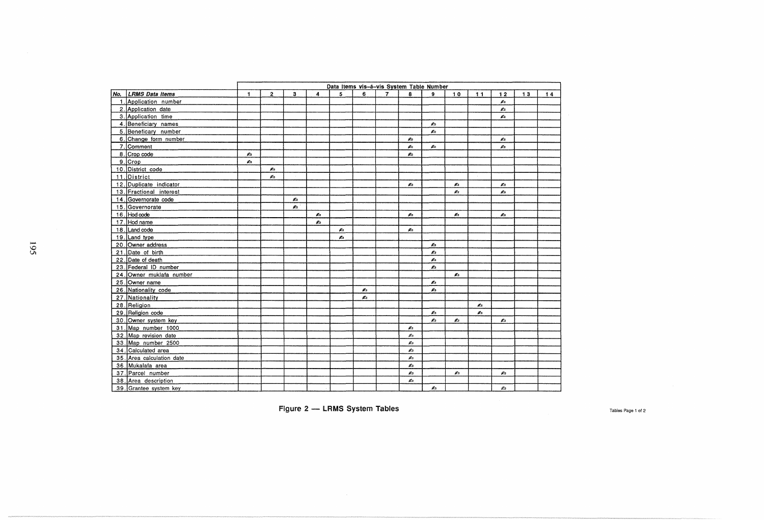|                           | Data items vis-á-vis System Table Number |                |    |    |    |    |                |    |              |    |    |                             |    |    |
|---------------------------|------------------------------------------|----------------|----|----|----|----|----------------|----|--------------|----|----|-----------------------------|----|----|
| No. LRMS Data Items       | 1                                        | $\overline{2}$ | 3  | 4  | 5  | 6  | $\overline{7}$ | 8  | $\mathbf{Q}$ | 10 | 11 | 12                          | 13 | 14 |
| 1. Application number     |                                          |                |    |    |    |    |                |    |              |    |    | $\mathcal{L}_{\mathcal{A}}$ |    |    |
| 2. Application date       |                                          |                |    |    |    |    |                |    |              |    |    | $\mathcal{L}_{\mathbb{B}}$  |    |    |
| 3. Application time       |                                          |                |    |    |    |    |                |    |              |    |    | Æ.                          |    |    |
| 4. Beneficiary names      |                                          |                |    |    |    |    |                |    | Æ.           |    |    |                             |    |    |
| 5. Beneficary number      |                                          |                |    |    |    |    |                |    | Æ.           |    |    |                             |    |    |
| 6. Change form number     |                                          |                |    |    |    |    |                | Ø. |              |    |    | A                           |    |    |
| 7. Comment                |                                          |                |    |    |    |    |                | øъ | Ø.           |    |    | $\mathcal{L}$               |    |    |
| 8. Crop code              | ø.                                       |                |    |    |    |    |                | Æ. |              |    |    |                             |    |    |
| 9. Crop                   | ø.                                       |                |    |    |    |    |                |    |              |    |    |                             |    |    |
| 10. District code         |                                          | Æ.             |    |    |    |    |                |    |              |    |    |                             |    |    |
| 11. District              |                                          | ø.             |    |    |    |    |                |    |              |    |    |                             |    |    |
| 12. Duplicate indicator   |                                          |                |    |    |    |    |                | Ø. |              | Æ. |    | $\sigma$                    |    |    |
| 13. Fractional interest   |                                          |                |    |    |    |    |                |    |              | Æ. |    | ø.                          |    |    |
| 14. Governorate code      |                                          |                | Æ. |    |    |    |                |    |              |    |    |                             |    |    |
| 15 Governorate            |                                          |                | Æ. |    |    |    |                |    |              |    |    |                             |    |    |
| $16.$ Hod code            |                                          |                |    | Æ. |    |    |                | Æ. |              | Æ. |    | Ø.                          |    |    |
| 17. Hod name              |                                          |                |    | é. |    |    |                |    |              |    |    |                             |    |    |
| 18. Land code             |                                          |                |    |    | Æ. |    |                | Æ. |              |    |    |                             |    |    |
| 19 Land type              |                                          |                |    |    | Æ. |    |                |    |              |    |    |                             |    |    |
| 20. Owner address         |                                          |                |    |    |    |    |                |    | Æ.           |    |    |                             |    |    |
| 21. Date of birth         |                                          |                |    |    |    |    |                |    | A            |    |    |                             |    |    |
| 22. Date of death         |                                          |                |    |    |    |    |                |    | Æ.           |    |    |                             |    |    |
| 23. Federal ID number     |                                          |                |    |    |    |    |                |    | Æ.           |    |    |                             |    |    |
| 24. Owner muklafa number  |                                          |                |    |    |    |    |                |    |              | Æ. |    |                             |    |    |
| 25. Owner name            |                                          |                |    |    |    |    |                |    | ø.           |    |    |                             |    |    |
| 26. Nationality code      |                                          |                |    |    |    | Æ. |                |    | Æ.           |    |    |                             |    |    |
| 27. Nationality           |                                          |                |    |    |    | æ. |                |    |              |    |    |                             |    |    |
| 28. Religion              |                                          |                |    |    |    |    |                |    |              |    | Æ. |                             |    |    |
| 29. Religion code         |                                          |                |    |    |    |    |                |    | Ø.           |    | Ø. |                             |    |    |
| 30. Owner system key      |                                          |                |    |    |    |    |                |    | ø.           | Æ. |    | Æ                           |    |    |
| 31. Map number 1000       |                                          |                |    |    |    |    |                | Æ. |              |    |    |                             |    |    |
| 32. Map revision date     |                                          |                |    |    |    |    |                | Æэ |              |    |    |                             |    |    |
| 33. Map number 2500       |                                          |                |    |    |    |    |                | Æэ |              |    |    |                             |    |    |
| 34. Calculated area       |                                          |                |    |    |    |    |                | ø. |              |    |    |                             |    |    |
| 35. Area calculation date |                                          |                |    |    |    |    |                | Ø. |              |    |    |                             |    |    |
| 36. Mukalafa area         |                                          |                |    |    |    |    |                | ø. |              |    |    |                             |    |    |
| 37. Parcel number         |                                          |                |    |    |    |    |                | Æэ |              | Æ. |    | Æ.                          |    |    |
| 38. Area description      |                                          |                |    |    |    |    |                | ø. |              |    |    |                             |    |    |
| 39. Grantee system key    |                                          |                |    |    |    |    |                |    | Ø.           |    |    | ø.                          |    |    |

Figure 2 - LRMS System Tables **Tables** Page 1 of 2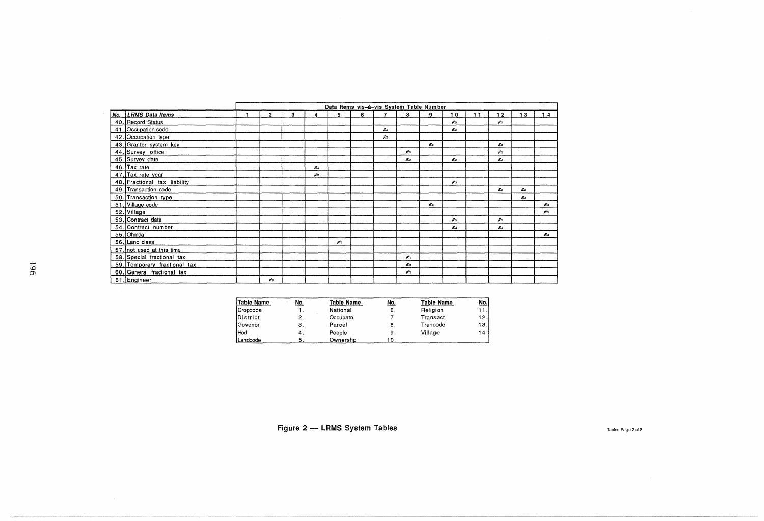|                              | Data Items vis-á-vis System Table Number |   |    |    |   |                |    |                             |                             |    |    |    |    |
|------------------------------|------------------------------------------|---|----|----|---|----------------|----|-----------------------------|-----------------------------|----|----|----|----|
| No. LRMS Data Items          | $\overline{2}$                           | 3 | Δ  | 5  | 6 | 7.             | 8  | 9                           | 10                          | 11 | 12 | 13 | 14 |
| 40. Record Status            |                                          |   |    |    |   |                |    |                             | $\mathcal{L}_{\mathcal{D}}$ |    | Æъ |    |    |
| 41. Occupation code          |                                          |   |    |    |   | $\mathbb{Z}_2$ |    |                             | Æ.                          |    |    |    |    |
| 42. Occupation type          |                                          |   |    |    |   | Æъ             |    |                             |                             |    |    |    |    |
| 43. Grantor system key       |                                          |   |    |    |   |                |    | $\sigma$                    |                             |    | Ø. |    |    |
| 44. Survey office            |                                          |   |    |    |   |                | Æ. |                             |                             |    | Ø. |    |    |
| 45. Survey date              |                                          |   |    |    |   |                | Æт |                             | $\mathbf{r}$                |    | æ. |    |    |
| 46. Tax rate                 |                                          |   | Ø. |    |   |                |    |                             |                             |    |    |    |    |
| 47. Tax rate year            |                                          |   | Ø. |    |   |                |    |                             |                             |    |    |    |    |
| 48. Fractional tax liability |                                          |   |    |    |   |                |    |                             | Æ.                          |    |    |    |    |
| 49. Transaction code         |                                          |   |    |    |   |                |    |                             |                             |    | æ. | £. |    |
| 50. Transaction type         |                                          |   |    |    |   |                |    |                             |                             |    |    | Æъ |    |
| 51. Village code             |                                          |   |    |    |   |                |    | $\mathcal{L}_{\mathcal{D}}$ |                             |    |    |    | Ø. |
| 52. Village                  |                                          |   |    |    |   |                |    |                             |                             |    |    |    | Ø. |
| 53. Contract date            |                                          |   |    |    |   |                |    |                             | ø.                          |    | ø. |    |    |
| 54. Contract number          |                                          |   |    |    |   |                |    |                             | £ъ                          |    | ¢. |    |    |
| 55. Ohmda                    |                                          |   |    |    |   |                |    |                             |                             |    |    |    | Æ. |
| 56. Land class               |                                          |   |    | Æ. |   |                |    |                             |                             |    |    |    |    |
| 57. not used at this time    |                                          |   |    |    |   |                |    |                             |                             |    |    |    |    |
| 58. Special fractional tax   |                                          |   |    |    |   |                | Æъ |                             |                             |    |    |    |    |
| 59. Temporary fractional tax |                                          |   |    |    |   |                | ø. |                             |                             |    |    |    |    |
| 60. General fractional tax   |                                          |   |    |    |   |                | Ø. |                             |                             |    |    |    |    |
| 61. Engineer                 | Ø.                                       |   |    |    |   |                |    |                             |                             |    |    |    |    |

| <b>Table Name</b> | No. | <b>Table Name</b> | No. | <b>Table Name</b> | <u>No.</u> |
|-------------------|-----|-------------------|-----|-------------------|------------|
| Cropcode          |     | National          | 6.  | Religion          | 11.        |
| District          | 2.  | Occupatn          |     | Transact          | 12.        |
| Govenor           | 3   | Parcel            | 8.  | Trancode          | 13.1       |
| Hod               | 4.  | People            | 9.  | Village           | 14         |
| Landcode          | 5   | Ownershp          | l 0 |                   |            |